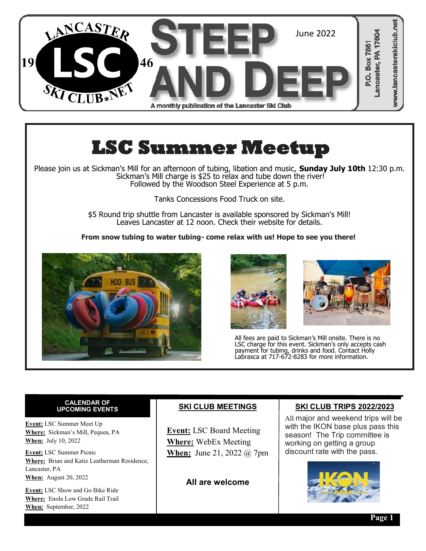

# **LSC Summer Meetup**

Please join us at Sickman's Mill for an afternoon of tubing, libation and music, **Sunday July 10th** 12:30 p.m. Sickman's Mill charge is \$25 to relax and tube down the river! Followed by the Woodson Steel Experience at 5 p.m.

Tanks Concessions Food Truck on site.

\$5 Round trip shuttle from Lancaster is available sponsored by Sickman's Mill! Leaves Lancaster at 12 noon. Check their website for details.

**From snow tubing to water tubing- come relax with us! Hope to see you there!**







All fees are paid to Sickman's Mill onsite. There is no LSC charge for this event. Sickman's only accepts cash payment for tubing, drinks and food. Contact Holly Labrasca at 717-672-8283 for more information.

## **CALENDAR OF**

**Event:** LSC Summer Meet Up **Where:** Sickman's Mill, Pequea, PA **When:** July 10, 2022

**Event:** LSC Summer Picnic **Where:** Brian and Katie Leatherman Residence, Lancaster, PA **When:** August 20, 2022

**Event:** LSC Show and Go Bike Ride **Where:** Enola Low Grade Rail Trail **When:** September, 2022

## **SKI CLUB MEETINGS**

 **Event:** LSC Board Meeting **Where:** WebEx Meeting **When:** June 21, 2022 @ 7pm

**All are welcome**

## **SKI CLUB TRIPS 2022/2023**

All major and weekend trips will be with the IKON base plus pass this season! The Trip committee is working on getting a group discount rate with the pass.

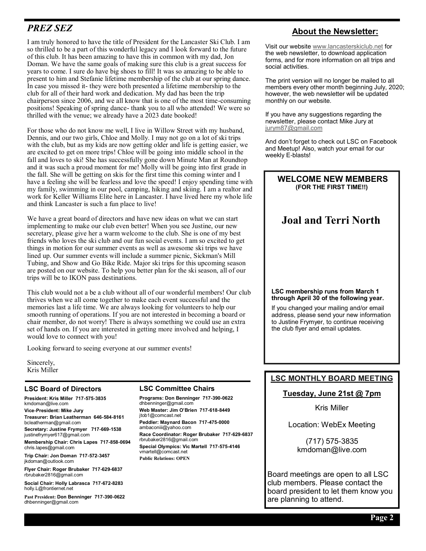## *PREZ SEZ*

I am truly honored to have the title of President for the Lancaster Ski Club. I am so thrilled to be a part of this wonderful legacy and I look forward to the future of this club. It has been amazing to have this in common with my dad, Jon Doman. We have the same goals of making sure this club is a great success for years to come. I sure do have big shoes to fill! It was so amazing to be able to present to him and Stefanie lifetime membership of the club at our spring dance. In case you missed it- they were both presented a lifetime membership to the club for all of their hard work and dedication. My dad has been the trip chairperson since 2006, and we all know that is one of the most time-consuming positions! Speaking of spring dance- thank you to all who attended! We were so thrilled with the venue; we already have a 2023 date booked!

For those who do not know me well, I live in Willow Street with my husband, Dennis, and our two girls, Chloe and Molly. I may not go on a lot of ski trips with the club, but as my kids are now getting older and life is getting easier, we are excited to get on more trips! Chloe will be going into middle school in the fall and loves to ski! She has successfully gone down Minute Man at Roundtop and it was such a proud moment for me! Molly will be going into first grade in the fall. She will be getting on skis for the first time this coming winter and I have a feeling she will be fearless and love the speed! I enjoy spending time with my family, swimming in our pool, camping, hiking and skiing. I am a realtor and work for Keller Williams Elite here in Lancaster. I have lived here my whole life and think Lancaster is such a fun place to live!

We have a great board of directors and have new ideas on what we can start implementing to make our club even better! When you see Justine, our new secretary, please give her a warm welcome to the club. She is one of my best friends who loves the ski club and our fun social events. I am so excited to get things in motion for our summer events as well as awesome ski trips we have lined up. Our summer events will include a summer picnic, Sickman's Mill Tubing, and Show and Go Bike Ride. Major ski trips for this upcoming season are posted on our website. To help you better plan for the ski season, all of our trips will be to IKON pass destinations.

This club would not a be a club without all of our wonderful members! Our club thrives when we all come together to make each event successful and the memories last a life time. We are always looking for volunteers to help our smooth running of operations. If you are not interested in becoming a board or chair member, do not worry! There is always something we could use an extra set of hands on. If you are interested in getting more involved and helping, I would love to connect with you!

Looking forward to seeing everyone at our summer events!

Sincerely, Kris Miller

#### **LSC Board of Directors**

**President: Kris Miller 717-575-3835** kmdoman@live.com

**Vice-President: Mike Jury Treasurer: Brian Leatherman 646-584-8161** bcleatherman@gmail.com

**Secretary: Justine Frymyer 717-669-1538** justinefrymyer617@gmail.com **Membership Chair: Chris Lapes 717-858-0694**

chris.lapes@gmail.com

**Trip Chair: Jon Doman 717-572-3457** [jkdoman@outlook.com](mailto:jkdoman@outlook.com)

**Flyer Chair: Roger Brubaker 717-629-6837** rbrubaker2816@gmail.com

**Social Chair: Holly Labrasca 717-672-8283** holly.L@frontiernet.net

**Past President: Don Benninger 717-390-0622** dhbenninger@gmail.com

#### **LSC Committee Chairs**

**Programs: Don Benninger 717-390-0622** dhbenninger@gmail.com **Web Master: Jim O'Brien 717-618-8449** jtob1@comcast.net **Peddler: Maynard Bacon 717-475-0000** ambaconiii@yahoo.com **Race Coordinator: Roger Brubaker 717-629-6837** rbrubaker2816@gmail.com **Special Olympics: Vic Martell 717-575-4146** vmartell@comcast.net **Public Relations: OPEN**

## **About the Newsletter:**

Visit our website [www.lancasterskiclub.net](http://www.lancasterskiclub.net) for the web newsletter, to download application forms, and for more information on all trips and social activities.

The print version will no longer be mailed to all members every other month beginning July, 2020; however, the web newsletter will be updated monthly on our website.

If you have any suggestions regarding the newsletter, please contact Mike Jury at [jurym87@gmail.com](mailto:jurym87@gmail.com)

And don't forget to check out LSC on Facebook and Meetup! Also, watch your email for our weekly E-blasts!

#### **WELCOME NEW MEMBERS (FOR THE FIRST TIME!!)**

## **Joal and Terri North**

#### **LSC membership runs from March 1 through April 30 of the following year.**

If you changed your mailing and/or email address, please send your new information to Justine Frymyer, to continue receiving the club flyer and email updates.

## **LSC MONTHLY BOARD MEETING**

### **Tuesday, June 21st @ 7pm**

Kris Miller

Location: WebEx Meeting

(717) 575-3835 kmdoman@live.com

Board meetings are open to all LSC club members. Please contact the board president to let them know you are planning to attend.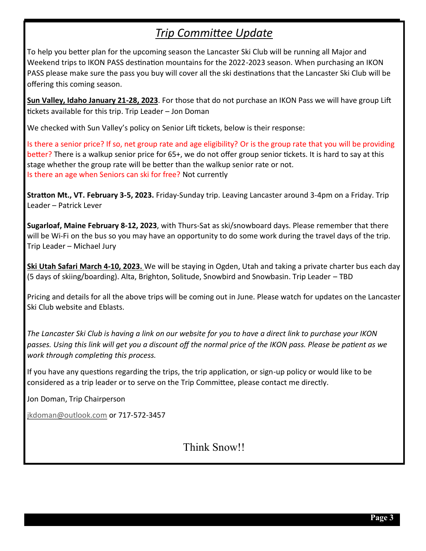## *Trip Committee Update*

To help you better plan for the upcoming season the Lancaster Ski Club will be running all Major and Weekend trips to IKON PASS destination mountains for the 2022-2023 season. When purchasing an IKON PASS please make sure the pass you buy will cover all the ski destinations that the Lancaster Ski Club will be offering this coming season.

**Sun Valley, Idaho January 21-28, 2023**. For those that do not purchase an IKON Pass we will have group Lift tickets available for this trip. Trip Leader – Jon Doman

We checked with Sun Valley's policy on Senior Lift tickets, below is their response:

Is there a senior price? If so, net group rate and age eligibility? Or is the group rate that you will be providing better? There is a walkup senior price for 65+, we do not offer group senior tickets. It is hard to say at this stage whether the group rate will be better than the walkup senior rate or not. Is there an age when Seniors can ski for free? Not currently

**Stratton Mt., VT. February 3-5, 2023.** Friday-Sunday trip. Leaving Lancaster around 3-4pm on a Friday. Trip Leader – Patrick Lever

**Sugarloaf, Maine February 8-12, 2023**, with Thurs-Sat as ski/snowboard days. Please remember that there will be Wi-Fi on the bus so you may have an opportunity to do some work during the travel days of the trip. Trip Leader – Michael Jury

**Ski Utah Safari March 4-10, 2023.** We will be staying in Ogden, Utah and taking a private charter bus each day (5 days of skiing/boarding). Alta, Brighton, Solitude, Snowbird and Snowbasin. Trip Leader – TBD

Pricing and details for all the above trips will be coming out in June. Please watch for updates on the Lancaster Ski Club website and Eblasts.

*The Lancaster Ski Club is having a link on our website for you to have a direct link to purchase your IKON passes. Using this link will get you a discount off the normal price of the IKON pass. Please be patient as we work through completing this process.*

If you have any questions regarding the trips, the trip application, or sign-up policy or would like to be considered as a trip leader or to serve on the Trip Committee, please contact me directly.

Jon Doman, Trip Chairperson

[jkdoman@outlook.com](mailto:jkdoman@outlook.com) or 717-572-3457

Think Snow!!